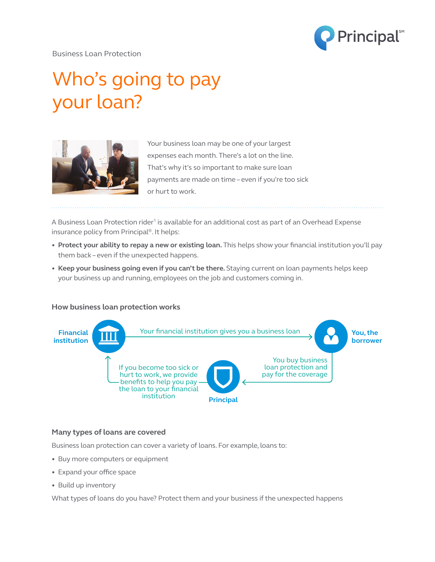

Business Loan Protection

# Who's going to pay your loan?



Your business loan may be one of your largest expenses each month. There's a lot on the line. That's why it's so important to make sure loan payments are made on time – even if you're too sick or hurt to work.

A Business Loan Protection rider<sup>1</sup> is available for an additional cost as part of an Overhead Expense insurance policy from Principal®. It helps:

- **Protect your ability to repay a new or existing loan.** This helps show your financial institution you'll pay them back – even if the unexpected happens.
- **Keep your business going even if you can't be there.** Staying current on loan payments helps keep your business up and running, employees on the job and customers coming in.

### **How business loan protection works**



### **Many types of loans are covered**

Business loan protection can cover a variety of loans. For example, loans to:

- Buy more computers or equipment
- Expand your office space
- Build up inventory

What types of loans do you have? Protect them and your business if the unexpected happens